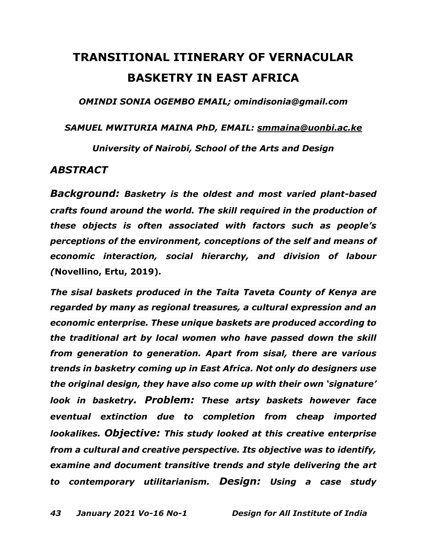## **TRANSITIONAL ITINERARY OF VERNACULAR BASKETRY IN EAST AFRICA**

*OMINDI SONIA OGEMBO EMAIL; omindisonia@gmail.com*

*SAMUEL MWITURIA MAINA PhD, EMAIL: [smmaina@uonbi.ac.ke](mailto:SMMAINA@UONBI.AC.KE)*

*University of Nairobi, School of the Arts and Design*

## *ABSTRACT*

*Background: Basketry is the oldest and most varied plant-based crafts found around the world. The skill required in the production of these objects is often associated with factors such as people's perceptions of the environment, conceptions of the self and means of economic interaction, social hierarchy, and division of labour (***[Novellino,](https://www.researchgate.net/profile/Dario_Novellino) Ertu, 2019)***.* 

*The sisal baskets produced in the Taita Taveta County of Kenya are regarded by many as regional treasures, a cultural expression and an economic enterprise. These unique baskets are produced according to the traditional art by local women who have passed down the skill from generation to generation. Apart from sisal, there are various trends in basketry coming up in East Africa. Not only do designers use the original design, they have also come up with their own 'signature' look in basketry. Problem: These artsy baskets however face eventual extinction due to completion from cheap imported lookalikes. Objective: This study looked at this creative enterprise from a cultural and creative perspective. Its objective was to identify, examine and document transitive trends and style delivering the art to contemporary utilitarianism. Design: Using a case study*